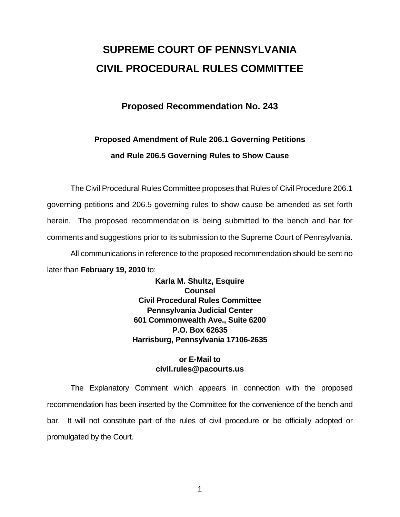# **SUPREME COURT OF PENNSYLVANIA CIVIL PROCEDURAL RULES COMMITTEE**

### **Proposed Recommendation No. 243**

## **Proposed Amendment of Rule 206.1 Governing Petitions and Rule 206.5 Governing Rules to Show Cause**

 The Civil Procedural Rules Committee proposes that Rules of Civil Procedure 206.1 governing petitions and 206.5 governing rules to show cause be amended as set forth herein. The proposed recommendation is being submitted to the bench and bar for comments and suggestions prior to its submission to the Supreme Court of Pennsylvania. All communications in reference to the proposed recommendation should be sent no

later than **February 19, 2010** to:

**Karla M. Shultz, Esquire Counsel Civil Procedural Rules Committee Pennsylvania Judicial Center 601 Commonwealth Ave., Suite 6200 P.O. Box 62635 Harrisburg, Pennsylvania 17106-2635** 

#### **or E-Mail to civil.rules@pacourts.us**

 The Explanatory Comment which appears in connection with the proposed recommendation has been inserted by the Committee for the convenience of the bench and bar. It will not constitute part of the rules of civil procedure or be officially adopted or promulgated by the Court.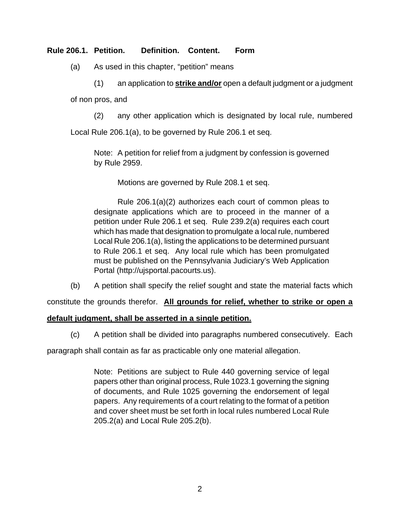#### **Rule 206.1. Petition. Definition. Content. Form**

- (a) As used in this chapter, "petition" means
	- (1) an application to **strike and/or** open a default judgment or a judgment

of non pros, and

(2) any other application which is designated by local rule, numbered

Local Rule 206.1(a), to be governed by Rule 206.1 et seq.

Note: A petition for relief from a judgment by confession is governed by Rule 2959.

Motions are governed by Rule 208.1 et seq.

 Rule 206.1(a)(2) authorizes each court of common pleas to designate applications which are to proceed in the manner of a petition under Rule 206.1 et seq. Rule 239.2(a) requires each court which has made that designation to promulgate a local rule, numbered Local Rule 206.1(a), listing the applications to be determined pursuant to Rule 206.1 et seq. Any local rule which has been promulgated must be published on the Pennsylvania Judiciary's Web Application Portal (http://ujsportal.pacourts.us).

(b) A petition shall specify the relief sought and state the material facts which

constitute the grounds therefor. **All grounds for relief, whether to strike or open a** 

#### **default judgment, shall be asserted in a single petition.**

(c) A petition shall be divided into paragraphs numbered consecutively. Each

paragraph shall contain as far as practicable only one material allegation.

Note: Petitions are subject to Rule 440 governing service of legal papers other than original process, Rule 1023.1 governing the signing of documents, and Rule 1025 governing the endorsement of legal papers. Any requirements of a court relating to the format of a petition and cover sheet must be set forth in local rules numbered Local Rule 205.2(a) and Local Rule 205.2(b).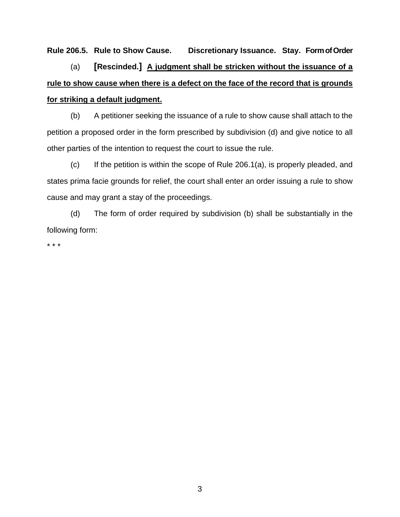**Rule 206.5. Rule to Show Cause. Discretionary Issuance. Stay. Form of Order**

 (a) **[Rescinded.] A judgment shall be stricken without the issuance of a rule to show cause when there is a defect on the face of the record that is grounds for striking a default judgment.**

 (b) A petitioner seeking the issuance of a rule to show cause shall attach to the petition a proposed order in the form prescribed by subdivision (d) and give notice to all other parties of the intention to request the court to issue the rule.

 $(c)$  If the petition is within the scope of Rule 206.1(a), is properly pleaded, and states prima facie grounds for relief, the court shall enter an order issuing a rule to show cause and may grant a stay of the proceedings.

 (d) The form of order required by subdivision (b) shall be substantially in the following form:

\* \* \*